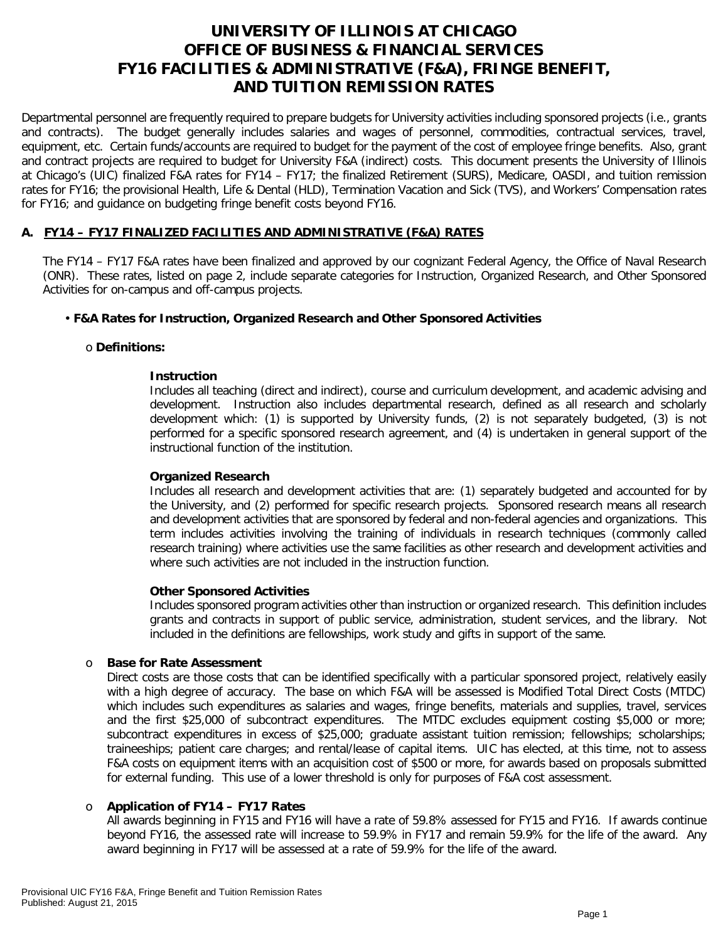# **UNIVERSITY OF ILLINOIS AT CHICAGO OFFICE OF BUSINESS & FINANCIAL SERVICES FY16 FACILITIES & ADMINISTRATIVE (F&A), FRINGE BENEFIT, AND TUITION REMISSION RATES**

Departmental personnel are frequently required to prepare budgets for University activities including sponsored projects (i.e., grants and contracts). The budget generally includes salaries and wages of personnel, commodities, contractual services, travel, equipment, etc. Certain funds/accounts are required to budget for the payment of the cost of employee fringe benefits. Also, grant and contract projects are required to budget for University F&A (indirect) costs. This document presents the University of Illinois at Chicago's (UIC) finalized F&A rates for FY14 – FY17; the finalized Retirement (SURS), Medicare, OASDI, and tuition remission rates for FY16; the provisional Health, Life & Dental (HLD), Termination Vacation and Sick (TVS), and Workers' Compensation rates for FY16; and guidance on budgeting fringe benefit costs beyond FY16.

### **A. FY14 – FY17 FINALIZED FACILITIES AND ADMINISTRATIVE (F&A) RATES**

The FY14 – FY17 F&A rates have been finalized and approved by our cognizant Federal Agency, the Office of Naval Research (ONR). These rates, listed on page 2, include separate categories for Instruction, Organized Research, and Other Sponsored Activities for on-campus and off-campus projects.

### • **F&A Rates for Instruction, Organized Research and Other Sponsored Activities**

### o **Definitions:**

### **Instruction**

Includes all teaching (direct and indirect), course and curriculum development, and academic advising and development. Instruction also includes departmental research, defined as all research and scholarly development which: (1) is supported by University funds, (2) is not separately budgeted, (3) is not performed for a specific sponsored research agreement, and (4) is undertaken in general support of the instructional function of the institution.

### **Organized Research**

Includes all research and development activities that are: (1) separately budgeted and accounted for by the University, and (2) performed for specific research projects. Sponsored research means all research and development activities that are sponsored by federal and non-federal agencies and organizations. This term includes activities involving the training of individuals in research techniques (commonly called research training) where activities use the same facilities as other research and development activities and where such activities are not included in the instruction function.

### **Other Sponsored Activities**

Includes sponsored program activities other than instruction or organized research. This definition includes grants and contracts in support of public service, administration, student services, and the library. Not included in the definitions are fellowships, work study and gifts in support of the same.

#### o **Base for Rate Assessment**

Direct costs are those costs that can be identified specifically with a particular sponsored project, relatively easily with a high degree of accuracy. The base on which F&A will be assessed is Modified Total Direct Costs (MTDC) which includes such expenditures as salaries and wages, fringe benefits, materials and supplies, travel, services and the first \$25,000 of subcontract expenditures. The MTDC excludes equipment costing \$5,000 or more; subcontract expenditures in excess of \$25,000; graduate assistant tuition remission; fellowships; scholarships; traineeships; patient care charges; and rental/lease of capital items. UIC has elected, at this time, not to assess F&A costs on equipment items with an acquisition cost of \$500 or more, for awards based on proposals submitted for external funding. This use of a lower threshold is only for purposes of F&A cost assessment.

### o **Application of FY14 – FY17 Rates**

All awards beginning in FY15 and FY16 will have a rate of 59.8% assessed for FY15 and FY16. If awards continue beyond FY16, the assessed rate will increase to 59.9% in FY17 and remain 59.9% for the life of the award. Any award beginning in FY17 will be assessed at a rate of 59.9% for the life of the award.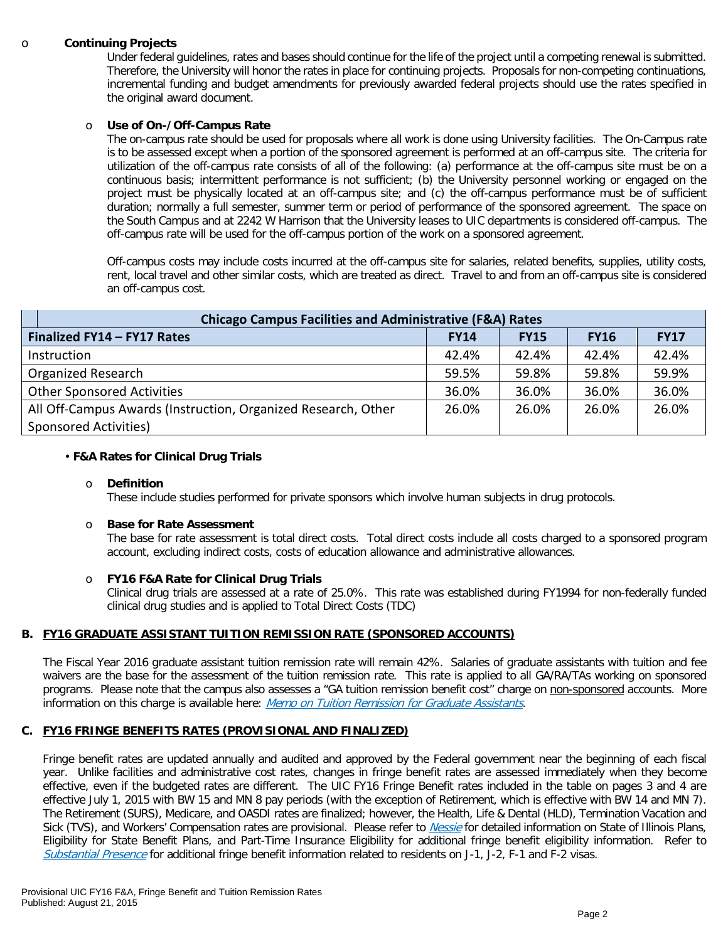#### o **Continuing Projects**

Under federal guidelines, rates and bases should continue for the life of the project until a competing renewal is submitted. Therefore, the University will honor the rates in place for continuing projects. Proposals for non-competing continuations, incremental funding and budget amendments for previously awarded federal projects should use the rates specified in the original award document.

#### o **Use of On-/Off-Campus Rate**

The on-campus rate should be used for proposals where all work is done using University facilities. The On-Campus rate is to be assessed except when a portion of the sponsored agreement is performed at an off-campus site. The criteria for utilization of the off-campus rate consists of all of the following: (a) performance at the off-campus site must be on a continuous basis; intermittent performance is not sufficient; (b) the University personnel working or engaged on the project must be physically located at an off-campus site; and (c) the off-campus performance must be of sufficient duration; normally a full semester, summer term or period of performance of the sponsored agreement. The space on the South Campus and at 2242 W Harrison that the University leases to UIC departments is considered off-campus. The off-campus rate will be used for the off-campus portion of the work on a sponsored agreement.

Off-campus costs may include costs incurred at the off-campus site for salaries, related benefits, supplies, utility costs, rent, local travel and other similar costs, which are treated as direct. Travel to and from an off-campus site is considered an off-campus cost.

| <b>Chicago Campus Facilities and Administrative (F&amp;A) Rates</b> |             |             |             |             |  |  |
|---------------------------------------------------------------------|-------------|-------------|-------------|-------------|--|--|
| Finalized FY14 - FY17 Rates                                         | <b>FY14</b> | <b>FY15</b> | <b>FY16</b> | <b>FY17</b> |  |  |
| Instruction                                                         | 42.4%       | 42.4%       | 42.4%       | 42.4%       |  |  |
| Organized Research                                                  | 59.5%       | 59.8%       | 59.8%       | 59.9%       |  |  |
| <b>Other Sponsored Activities</b>                                   | 36.0%       | 36.0%       | 36.0%       | 36.0%       |  |  |
| All Off-Campus Awards (Instruction, Organized Research, Other       | 26.0%       | 26.0%       | 26.0%       | 26.0%       |  |  |
| Sponsored Activities)                                               |             |             |             |             |  |  |

#### • **F&A Rates for Clinical Drug Trials**

#### o **Definition**

These include studies performed for private sponsors which involve human subjects in drug protocols.

#### o **Base for Rate Assessment**

The base for rate assessment is total direct costs. Total direct costs include all costs charged to a sponsored program account, excluding indirect costs, costs of education allowance and administrative allowances.

#### o **FY16 F&A Rate for Clinical Drug Trials**

Clinical drug trials are assessed at a rate of 25.0%. This rate was established during FY1994 for non-federally funded clinical drug studies and is applied to Total Direct Costs (TDC)

#### **B. FY16 GRADUATE ASSISTANT TUITION REMISSION RATE (SPONSORED ACCOUNTS)**

The Fiscal Year 2016 graduate assistant tuition remission rate will remain 42%. Salaries of graduate assistants with tuition and fee waivers are the base for the assessment of the tuition remission rate. This rate is applied to all GA/RA/TAs working on sponsored programs. Please note that the campus also assesses a "GA tuition remission benefit cost" charge on non-sponsored accounts. More information on this charge is available here: *Memo on Tuition Remission for Graduate Assistants*.

#### **C. FY16 FRINGE BENEFITS RATES (PROVISIONAL AND FINALIZED)**

Fringe benefit rates are updated annually and audited and approved by the Federal government near the beginning of each fiscal year. Unlike facilities and administrative cost rates, changes in fringe benefit rates are assessed immediately when they become effective, even if the budgeted rates are different. The UIC FY16 Fringe Benefit rates included in the table on pages 3 and 4 are effective July 1, 2015 with BW 15 and MN 8 pay periods (with the exception of Retirement, which is effective with BW 14 and MN 7). The Retirement (SURS), Medicare, and OASDI rates are finalized; however, the Health, Life & Dental (HLD), Termination Vacation and Sick (TVS), and Workers' Compensation rates are provisional. Please refer to *[Nessie](http://nessie.uihr.uillinois.edu/cf/benefits/)* for detailed information on State of Illinois Plans, Eligibility for State Benefit Plans, and Part-Time Insurance Eligibility for additional fringe benefit eligibility information. Refer to [Substantial Presence](http://www.uic.edu/com/gme/rpm_comp___benefits.htm#real_substantial_pres) for additional fringe benefit information related to residents on J-1, J-2, F-1 and F-2 visas.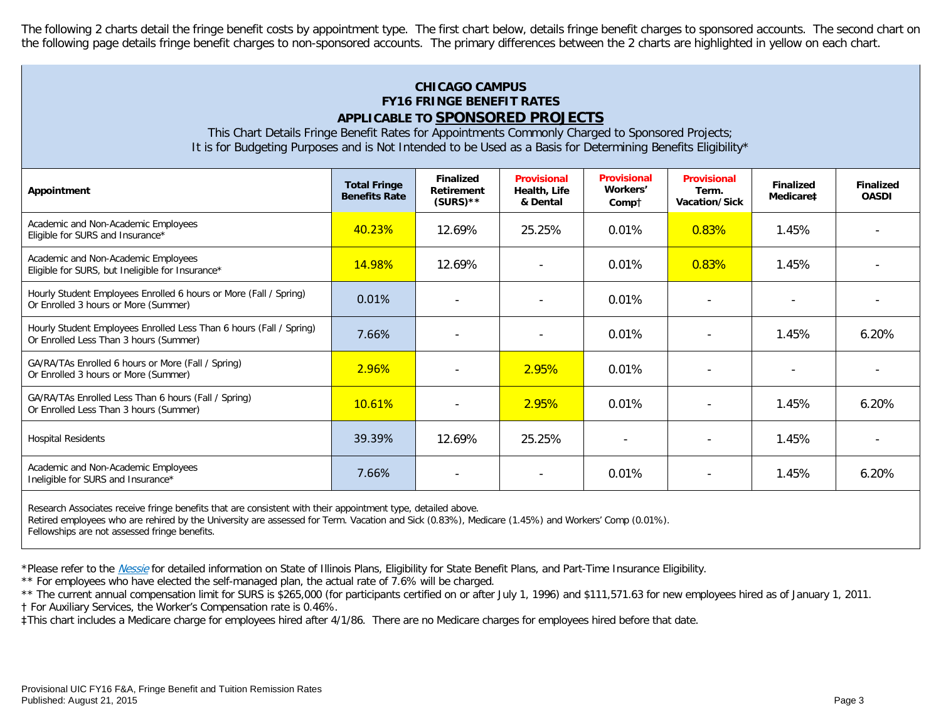The following 2 charts detail the fringe benefit costs by appointment type. The first chart below, details fringe benefit charges to sponsored accounts. The second chart on the following page details fringe benefit charges to non-sponsored accounts. The primary differences between the 2 charts are highlighted in yellow on each chart.

# **CHICAGO CAMPUS FY16 FRINGE BENEFIT RATES APPLICABLE TO SPONSORED PROJECTS**

This Chart Details Fringe Benefit Rates for Appointments Commonly Charged to Sponsored Projects; It is for Budgeting Purposes and is Not Intended to be Used as a Basis for Determining Benefits Eligibility\*

| Appointment                                                                                                   | <b>Total Fringe</b><br><b>Benefits Rate</b> | <b>Finalized</b><br>Retirement<br>$(SURS)$ ** | <b>Provisional</b><br>Health, Life<br>& Dental | <b>Provisional</b><br>Workers'<br>Comp† | <b>Provisional</b><br>Term.<br>Vacation/Sick | <b>Finalized</b><br>Medicare <sup>#</sup> | <b>Finalized</b><br><b>OASDI</b> |
|---------------------------------------------------------------------------------------------------------------|---------------------------------------------|-----------------------------------------------|------------------------------------------------|-----------------------------------------|----------------------------------------------|-------------------------------------------|----------------------------------|
| Academic and Non-Academic Employees<br>Eligible for SURS and Insurance*                                       | 40.23%                                      | 12.69%                                        | 25.25%                                         | 0.01%                                   | 0.83%                                        | 1.45%                                     |                                  |
| Academic and Non-Academic Employees<br>Eligible for SURS, but Ineligible for Insurance*                       | 14.98%                                      | 12.69%                                        |                                                | 0.01%                                   | 0.83%                                        | 1.45%                                     |                                  |
| Hourly Student Employees Enrolled 6 hours or More (Fall / Spring)<br>Or Enrolled 3 hours or More (Summer)     | 0.01%                                       |                                               |                                                | 0.01%                                   |                                              |                                           |                                  |
| Hourly Student Employees Enrolled Less Than 6 hours (Fall / Spring)<br>Or Enrolled Less Than 3 hours (Summer) | 7.66%                                       | $\overline{\phantom{a}}$                      |                                                | 0.01%                                   |                                              | 1.45%                                     | 6.20%                            |
| GA/RA/TAs Enrolled 6 hours or More (Fall / Spring)<br>Or Enrolled 3 hours or More (Summer)                    | 2.96%                                       |                                               | 2.95%                                          | 0.01%                                   |                                              |                                           |                                  |
| GA/RA/TAs Enrolled Less Than 6 hours (Fall / Spring)<br>Or Enrolled Less Than 3 hours (Summer)                | 10.61%                                      |                                               | 2.95%                                          | 0.01%                                   |                                              | 1.45%                                     | 6.20%                            |
| <b>Hospital Residents</b>                                                                                     | 39.39%                                      | 12.69%                                        | 25.25%                                         |                                         |                                              | 1.45%                                     |                                  |
| Academic and Non-Academic Employees<br>Ineligible for SURS and Insurance*                                     | 7.66%                                       | $\overline{\phantom{a}}$                      | $\overline{\phantom{a}}$                       | 0.01%                                   | $\overline{\phantom{a}}$                     | 1.45%                                     | 6.20%                            |

Research Associates receive fringe benefits that are consistent with their appointment type, detailed above.

Retired employees who are rehired by the University are assessed for Term. Vacation and Sick (0.83%), Medicare (1.45%) and Workers' Comp (0.01%).

Fellowships are not assessed fringe benefits.

\*Please refer to the [Nessie](http://nessie.uihr.uillinois.edu/cf/benefits/) for detailed information on State of Illinois Plans, Eligibility for State Benefit Plans, and Part-Time Insurance Eligibility.

\*\* For employees who have elected the self-managed plan, the actual rate of 7.6% will be charged.

\*\* The current annual compensation limit for SURS is \$265,000 (for participants certified on or after July 1, 1996) and \$111,571.63 for new employees hired as of January 1, 2011.

† For Auxiliary Services, the Worker's Compensation rate is 0.46%.

‡This chart includes a Medicare charge for employees hired after 4/1/86. There are no Medicare charges for employees hired before that date.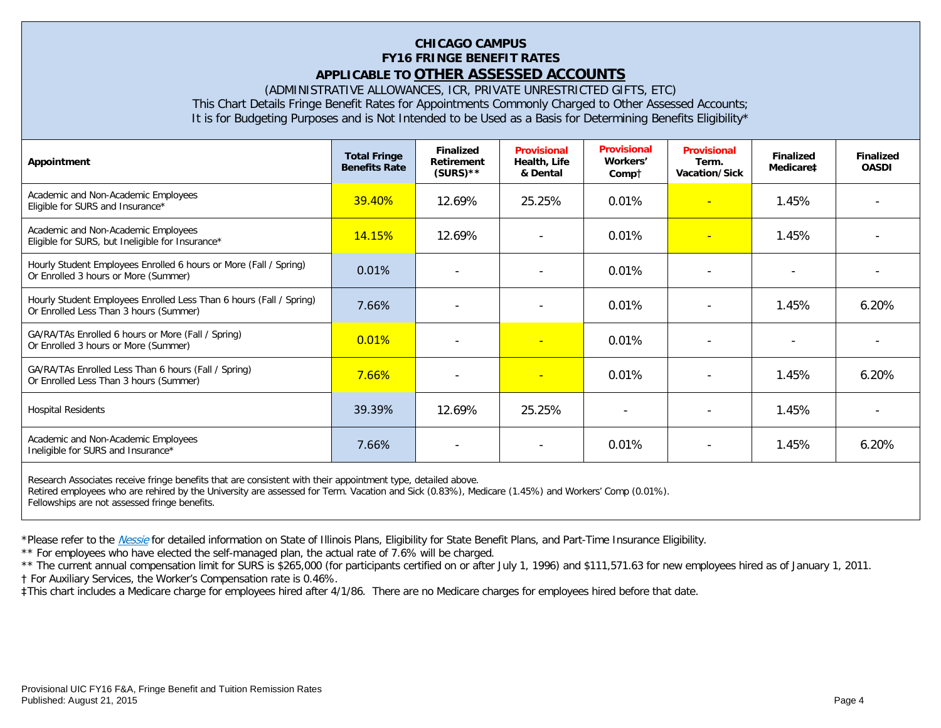# **CHICAGO CAMPUS FY16 FRINGE BENEFIT RATES APPLICABLE TO OTHER ASSESSED ACCOUNTS**

(ADMINISTRATIVE ALLOWANCES, ICR, PRIVATE UNRESTRICTED GIFTS, ETC)

This Chart Details Fringe Benefit Rates for Appointments Commonly Charged to Other Assessed Accounts;

It is for Budgeting Purposes and is Not Intended to be Used as a Basis for Determining Benefits Eligibility\*

| Appointment                                                                                                   | <b>Total Fringe</b><br><b>Benefits Rate</b> | <b>Finalized</b><br>Retirement<br>$(SURS)$ ** | <b>Provisional</b><br>Health, Life<br>& Dental | <b>Provisional</b><br>Workers'<br>Compt | <b>Provisional</b><br>Term.<br>Vacation/Sick | <b>Finalized</b><br>Medicare‡ | <b>Finalized</b><br><b>OASDI</b> |
|---------------------------------------------------------------------------------------------------------------|---------------------------------------------|-----------------------------------------------|------------------------------------------------|-----------------------------------------|----------------------------------------------|-------------------------------|----------------------------------|
| Academic and Non-Academic Employees<br>Eligible for SURS and Insurance*                                       | 39.40%                                      | 12.69%                                        | 25.25%                                         | 0.01%                                   | $\overline{\phantom{a}}$                     | 1.45%                         |                                  |
| Academic and Non-Academic Employees<br>Eligible for SURS, but Ineligible for Insurance*                       | 14.15%                                      | 12.69%                                        | $\overline{\phantom{a}}$                       | 0.01%                                   | $\overline{\phantom{0}}$                     | 1.45%                         |                                  |
| Hourly Student Employees Enrolled 6 hours or More (Fall / Spring)<br>Or Enrolled 3 hours or More (Summer)     | 0.01%                                       |                                               | $\overline{\phantom{a}}$                       | 0.01%                                   |                                              |                               |                                  |
| Hourly Student Employees Enrolled Less Than 6 hours (Fall / Spring)<br>Or Enrolled Less Than 3 hours (Summer) | 7.66%                                       |                                               |                                                | 0.01%                                   |                                              | 1.45%                         | 6.20%                            |
| GA/RA/TAs Enrolled 6 hours or More (Fall / Spring)<br>Or Enrolled 3 hours or More (Summer)                    | 0.01%                                       |                                               | ٠                                              | 0.01%                                   |                                              |                               |                                  |
| GA/RA/TAs Enrolled Less Than 6 hours (Fall / Spring)<br>Or Enrolled Less Than 3 hours (Summer)                | 7.66%                                       |                                               | н                                              | 0.01%                                   |                                              | 1.45%                         | 6.20%                            |
| <b>Hospital Residents</b>                                                                                     | 39.39%                                      | 12.69%                                        | 25.25%                                         |                                         |                                              | 1.45%                         |                                  |
| Academic and Non-Academic Employees<br>Ineligible for SURS and Insurance*                                     | 7.66%                                       | $\overline{\phantom{a}}$                      | $\overline{\phantom{a}}$                       | 0.01%                                   | $\overline{\phantom{a}}$                     | 1.45%                         | 6.20%                            |
| Decease Accordates resolve frigge benefits that are consistent with their epperment type, detailed above      |                                             |                                               |                                                |                                         |                                              |                               |                                  |

Research Associates receive fringe benefits that are consistent with their appointment type, detailed above. Retired employees who are rehired by the University are assessed for Term. Vacation and Sick (0.83%), Medicare (1.45%) and Workers' Comp (0.01%). Fellowships are not assessed fringe benefits.

\*Please refer to the [Nessie](http://nessie.uihr.uillinois.edu/cf/benefits/) for detailed information on State of Illinois Plans, Eligibility for State Benefit Plans, and Part-Time Insurance Eligibility.

\*\* For employees who have elected the self-managed plan, the actual rate of 7.6% will be charged.

\*\* The current annual compensation limit for SURS is \$265,000 (for participants certified on or after July 1, 1996) and \$111,571.63 for new employees hired as of January 1, 2011.

† For Auxiliary Services, the Worker's Compensation rate is 0.46%.

‡This chart includes a Medicare charge for employees hired after 4/1/86. There are no Medicare charges for employees hired before that date.